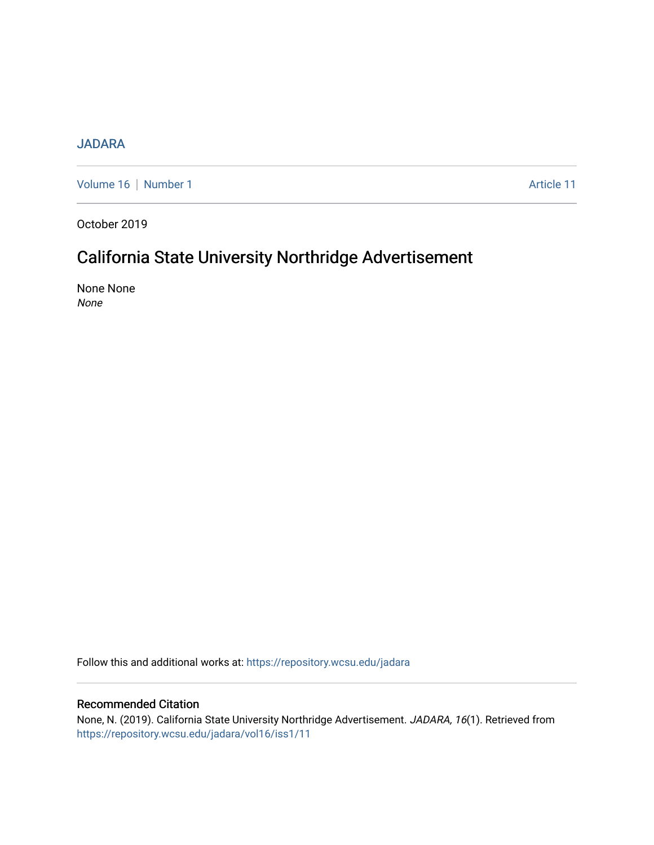### [JADARA](https://repository.wcsu.edu/jadara)

[Volume 16](https://repository.wcsu.edu/jadara/vol16) | [Number 1](https://repository.wcsu.edu/jadara/vol16/iss1) Article 11

October 2019

## California State University Northridge Advertisement

None None None

Follow this and additional works at: [https://repository.wcsu.edu/jadara](https://repository.wcsu.edu/jadara?utm_source=repository.wcsu.edu%2Fjadara%2Fvol16%2Fiss1%2F11&utm_medium=PDF&utm_campaign=PDFCoverPages)

#### Recommended Citation

None, N. (2019). California State University Northridge Advertisement. JADARA, 16(1). Retrieved from [https://repository.wcsu.edu/jadara/vol16/iss1/11](https://repository.wcsu.edu/jadara/vol16/iss1/11?utm_source=repository.wcsu.edu%2Fjadara%2Fvol16%2Fiss1%2F11&utm_medium=PDF&utm_campaign=PDFCoverPages)